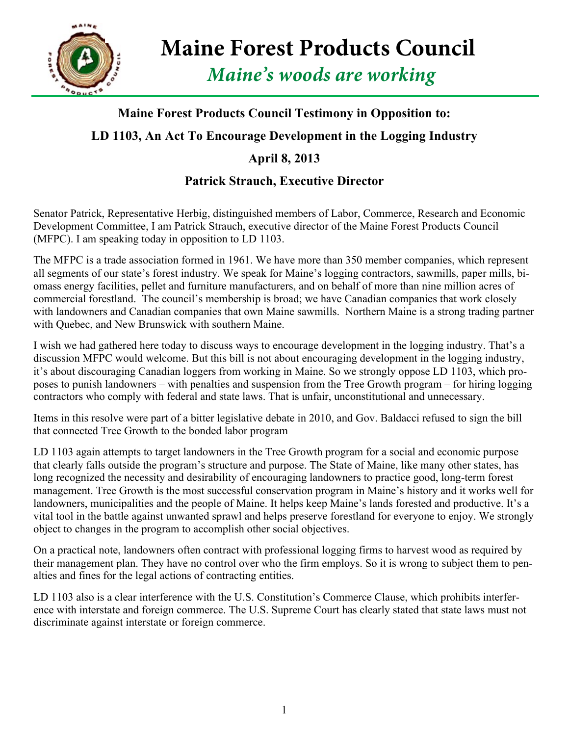

**Maine Forest Products Council**

*Maine's woods are working*

## **Maine Forest Products Council Testimony in Opposition to:**

## **LD 1103, An Act To Encourage Development in the Logging Industry**

## **April 8, 2013**

## **Patrick Strauch, Executive Director**

Senator Patrick, Representative Herbig, distinguished members of Labor, Commerce, Research and Economic Development Committee, I am Patrick Strauch, executive director of the Maine Forest Products Council (MFPC). I am speaking today in opposition to LD 1103.

The MFPC is a trade association formed in 1961. We have more than 350 member companies, which represent all segments of our state's forest industry. We speak for Maine's logging contractors, sawmills, paper mills, biomass energy facilities, pellet and furniture manufacturers, and on behalf of more than nine million acres of commercial forestland. The council's membership is broad; we have Canadian companies that work closely with landowners and Canadian companies that own Maine sawmills. Northern Maine is a strong trading partner with Quebec, and New Brunswick with southern Maine.

I wish we had gathered here today to discuss ways to encourage development in the logging industry. That's a discussion MFPC would welcome. But this bill is not about encouraging development in the logging industry, it's about discouraging Canadian loggers from working in Maine. So we strongly oppose LD 1103, which proposes to punish landowners – with penalties and suspension from the Tree Growth program – for hiring logging contractors who comply with federal and state laws. That is unfair, unconstitutional and unnecessary.

Items in this resolve were part of a bitter legislative debate in 2010, and Gov. Baldacci refused to sign the bill that connected Tree Growth to the bonded labor program

LD 1103 again attempts to target landowners in the Tree Growth program for a social and economic purpose that clearly falls outside the program's structure and purpose. The State of Maine, like many other states, has long recognized the necessity and desirability of encouraging landowners to practice good, long-term forest management. Tree Growth is the most successful conservation program in Maine's history and it works well for landowners, municipalities and the people of Maine. It helps keep Maine's lands forested and productive. It's a vital tool in the battle against unwanted sprawl and helps preserve forestland for everyone to enjoy. We strongly object to changes in the program to accomplish other social objectives.

On a practical note, landowners often contract with professional logging firms to harvest wood as required by their management plan. They have no control over who the firm employs. So it is wrong to subject them to penalties and fines for the legal actions of contracting entities.

LD 1103 also is a clear interference with the U.S. Constitution's Commerce Clause, which prohibits interference with interstate and foreign commerce. The U.S. Supreme Court has clearly stated that state laws must not discriminate against interstate or foreign commerce.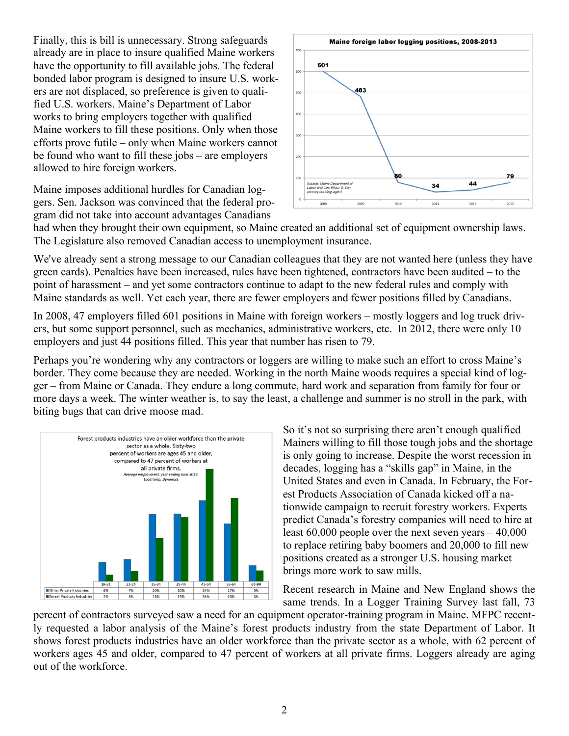Finally, this is bill is unnecessary. Strong safeguards already are in place to insure qualified Maine workers have the opportunity to fill available jobs. The federal bonded labor program is designed to insure U.S. workers are not displaced, so preference is given to qualified U.S. workers. Maine's Department of Labor works to bring employers together with qualified Maine workers to fill these positions. Only when those efforts prove futile – only when Maine workers cannot be found who want to fill these jobs – are employers allowed to hire foreign workers.

Maine imposes additional hurdles for Canadian loggers. Sen. Jackson was convinced that the federal program did not take into account advantages Canadians



had when they brought their own equipment, so Maine created an additional set of equipment ownership laws. The Legislature also removed Canadian access to unemployment insurance.

We've already sent a strong message to our Canadian colleagues that they are not wanted here (unless they have green cards). Penalties have been increased, rules have been tightened, contractors have been audited – to the point of harassment – and yet some contractors continue to adapt to the new federal rules and comply with Maine standards as well. Yet each year, there are fewer employers and fewer positions filled by Canadians.

In 2008, 47 employers filled 601 positions in Maine with foreign workers – mostly loggers and log truck drivers, but some support personnel, such as mechanics, administrative workers, etc. In 2012, there were only 10 employers and just 44 positions filled. This year that number has risen to 79.

Perhaps you're wondering why any contractors or loggers are willing to make such an effort to cross Maine's border. They come because they are needed. Working in the north Maine woods requires a special kind of logger – from Maine or Canada. They endure a long commute, hard work and separation from family for four or more days a week. The winter weather is, to say the least, a challenge and summer is no stroll in the park, with biting bugs that can drive moose mad.



So it's not so surprising there aren't enough qualified Mainers willing to fill those tough jobs and the shortage is only going to increase. Despite the worst recession in decades, logging has a "skills gap" in Maine, in the United States and even in Canada. In February, the Forest Products Association of Canada kicked off a nationwide campaign to recruit forestry workers. Experts predict Canada's forestry companies will need to hire at least 60,000 people over the next seven years – 40,000 to replace retiring baby boomers and 20,000 to fill new positions created as a stronger U.S. housing market brings more work to saw mills.

Recent research in Maine and New England shows the same trends. In a Logger Training Survey last fall, 73

percent of contractors surveyed saw a need for an equipment operator-training program in Maine. MFPC recently requested a labor analysis of the Maine's forest products industry from the state Department of Labor. It shows forest products industries have an older workforce than the private sector as a whole, with 62 percent of workers ages 45 and older, compared to 47 percent of workers at all private firms. Loggers already are aging out of the workforce.